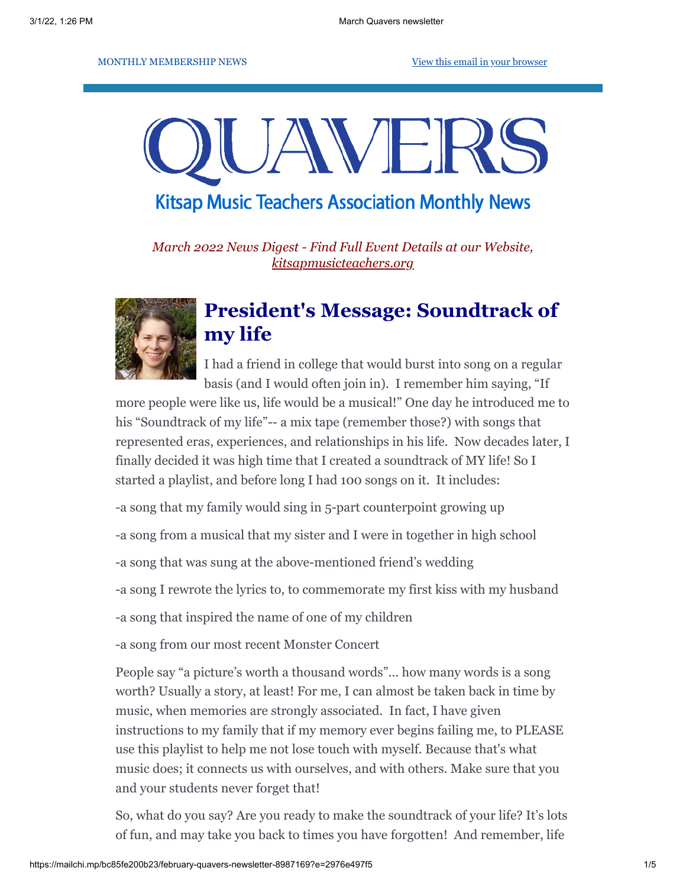MONTHLY MEMBERSHIP NEWS [View this email in your browser](https://mailchi.mp/bc85fe200b23/february-quavers-newsletter-8987169?e=2976e497f5)

# JAVEF

# **Kitsap Music Teachers Association Monthly News**

*March 2022 News Digest - Find Full Event Details at our Website, [kitsapmusicteachers.org](http://www.kitsapmusicteachers.org/)*



# **President's Message: Soundtrack of my life**

I had a friend in college that would burst into song on a regular basis (and I would often join in). I remember him saying, "If

more people were like us, life would be a musical!" One day he introduced me to his "Soundtrack of my life"-- a mix tape (remember those?) with songs that represented eras, experiences, and relationships in his life. Now decades later, I finally decided it was high time that I created a soundtrack of MY life! So I started a playlist, and before long I had 100 songs on it. It includes:

-a song that my family would sing in 5-part counterpoint growing up

-a song from a musical that my sister and I were in together in high school

-a song that was sung at the above-mentioned friend's wedding

-a song I rewrote the lyrics to, to commemorate my first kiss with my husband

-a song that inspired the name of one of my children

-a song from our most recent Monster Concert

People say "a picture's worth a thousand words"... how many words is a song worth? Usually a story, at least! For me, I can almost be taken back in time by music, when memories are strongly associated. In fact, I have given instructions to my family that if my memory ever begins failing me, to PLEASE use this playlist to help me not lose touch with myself. Because that's what music does; it connects us with ourselves, and with others. Make sure that you and your students never forget that!

So, what do you say? Are you ready to make the soundtrack of your life? It's lots of fun, and may take you back to times you have forgotten! And remember, life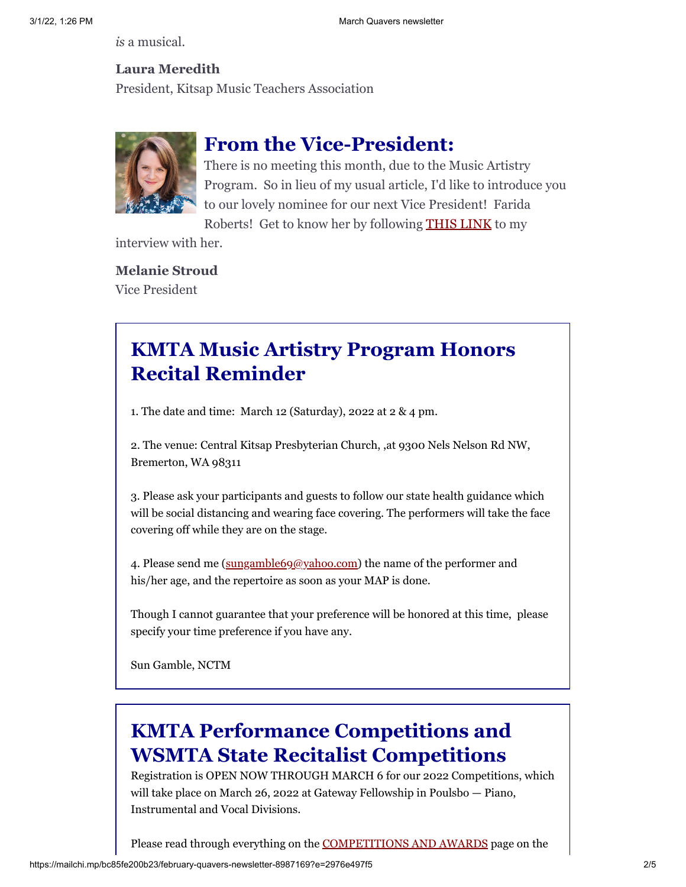*is* a musical.

## **Laura Meredith**

President, Kitsap Music Teachers Association



## **From the Vice-President:**

There is no meeting this month, due to the Music Artistry Program. So in lieu of my usual article, I'd like to introduce you to our lovely nominee for our next Vice President! Farida Roberts! Get to know her by following [THIS LINK](https://docs.google.com/document/d/15n-Dt88_9N9qwrD_iD9tfxxMjKC8afhVJ0ccBi0BMyE/edit) to my

interview with her.

#### **Melanie Stroud**

Vice President

# **KMTA Music Artistry Program Honors Recital Reminder**

1. The date and time: March 12 (Saturday), 2022 at 2 & 4 pm.

2. The venue: Central Kitsap Presbyterian Church, ,at 9300 Nels Nelson Rd NW, Bremerton, WA 98311

3. Please ask your participants and guests to follow our state health guidance which will be social distancing and wearing face covering. The performers will take the face covering off while they are on the stage.

4. Please send me ([sungamble69@yahoo.com](mailto:sungamble69@yahoo.com)) the name of the performer and his/her age, and the repertoire as soon as your MAP is done.

Though I cannot guarantee that your preference will be honored at this time, please specify your time preference if you have any.

Sun Gamble, NCTM

# **KMTA Performance Competitions and WSMTA State Recitalist Competitions**

Registration is OPEN NOW THROUGH MARCH 6 for our 2022 Competitions, which will take place on March 26, 2022 at Gateway Fellowship in Poulsbo — Piano, Instrumental and Vocal Divisions.

Please read through everything on the [COMPETITIONS AND AWARDS](https://kitsapmusicteachers.org/competitions-and-awards/) page on the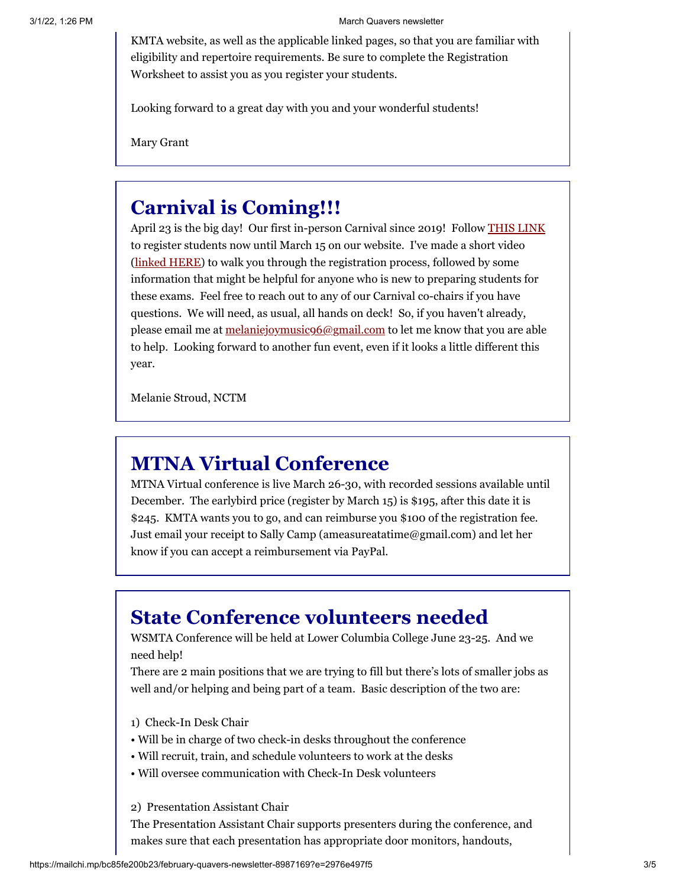KMTA website, as well as the applicable linked pages, so that you are familiar with eligibility and repertoire requirements. Be sure to complete the Registration Worksheet to assist you as you register your students.

Looking forward to a great day with you and your wonderful students!

Mary Grant

## **Carnival is Coming!!!**

April 23 is the big day! Our first in-person Carnival since 2019! Follow [THIS LINK](https://docs.google.com/forms/d/e/1FAIpQLSdGpH7BcvoesCRJqB7Qhe0-5jR-OwJx5MEJFzzqSy-OjTqU7g/viewform?usp=sf_link) to register students now until March 15 on our website. I've made a short video ([linked HERE\)](https://youtu.be/pge8oBll-eU) to walk you through the registration process, followed by some information that might be helpful for anyone who is new to preparing students for these exams. Feel free to reach out to any of our Carnival co-chairs if you have questions. We will need, as usual, all hands on deck! So, if you haven't already, please email me at [melaniejoymusic96@gmail.com](mailto:melaniejoymusic96@gmail.com) to let me know that you are able to help. Looking forward to another fun event, even if it looks a little different this year.

Melanie Stroud, NCTM

## **MTNA Virtual Conference**

MTNA Virtual conference is live March 26-30, with recorded sessions available until December. The earlybird price (register by March 15) is \$195, after this date it is \$245. KMTA wants you to go, and can reimburse you \$100 of the registration fee. Just email your receipt to Sally Camp (ameasureatatime@gmail.com) and let her know if you can accept a reimbursement via PayPal.

# **State Conference volunteers needed**

WSMTA Conference will be held at Lower Columbia College June 23-25. And we need help!

There are 2 main positions that we are trying to fill but there's lots of smaller jobs as well and/or helping and being part of a team. Basic description of the two are:

- 1) Check-In Desk Chair
- Will be in charge of two check-in desks throughout the conference
- Will recruit, train, and schedule volunteers to work at the desks
- Will oversee communication with Check-In Desk volunteers
- 2) Presentation Assistant Chair

The Presentation Assistant Chair supports presenters during the conference, and makes sure that each presentation has appropriate door monitors, handouts,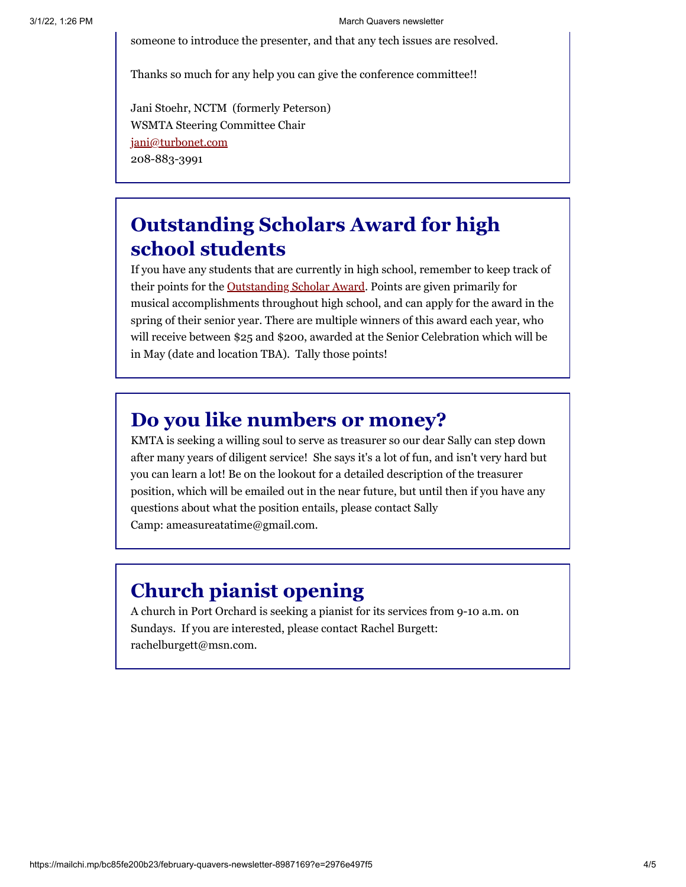someone to introduce the presenter, and that any tech issues are resolved.

Thanks so much for any help you can give the conference committee!!

Jani Stoehr, NCTM (formerly Peterson) WSMTA Steering Committee Chair [jani@turbonet.com](mailto:jani@turbonet.com) 208-883-3991

# **Outstanding Scholars Award for high school students**

If you have any students that are currently in high school, remember to keep track of their points for the [Outstanding Scholar Award.](https://kitsapmusicteachers.org/wp-content/uploads/2018/11/OSA-Application-no-date.pdf) Points are given primarily for musical accomplishments throughout high school, and can apply for the award in the spring of their senior year. There are multiple winners of this award each year, who will receive between \$25 and \$200, awarded at the Senior Celebration which will be in May (date and location TBA). Tally those points!

# **Do you like numbers or money?**

KMTA is seeking a willing soul to serve as treasurer so our dear Sally can step down after many years of diligent service! She says it's a lot of fun, and isn't very hard but you can learn a lot! Be on the lookout for a detailed description of the treasurer position, which will be emailed out in the near future, but until then if you have any questions about what the position entails, please contact Sally Camp: ameasureatatime@gmail.com.

# **Church pianist opening**

A church in Port Orchard is seeking a pianist for its services from 9-10 a.m. on Sundays. If you are interested, please contact Rachel Burgett: rachelburgett@msn.com.